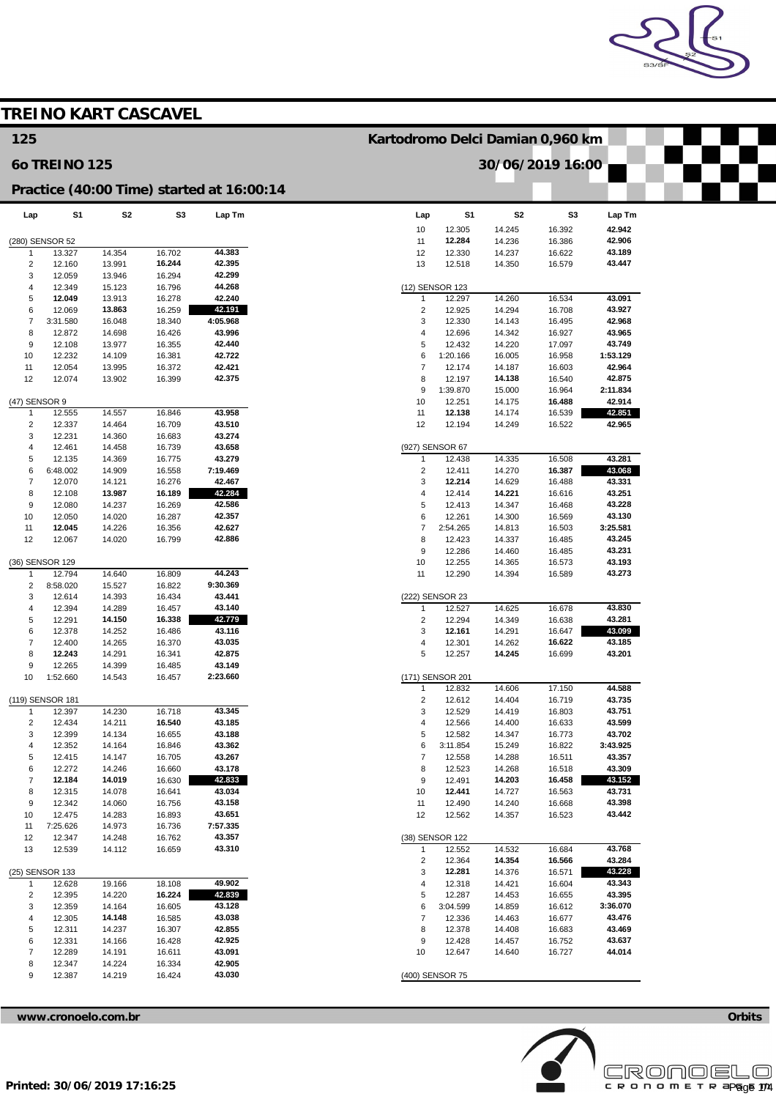

|                         |                  | <b>TREINO KART CASCAVEL</b> |                  |                                           |                                  |                           |                  |                  |                  |
|-------------------------|------------------|-----------------------------|------------------|-------------------------------------------|----------------------------------|---------------------------|------------------|------------------|------------------|
| 125                     |                  |                             |                  |                                           | Kartodromo Delci Damian 0,960 km |                           |                  |                  |                  |
| <b>60 TREINO 125</b>    |                  |                             |                  |                                           |                                  |                           |                  | 30/06/2019 16:00 |                  |
|                         |                  |                             |                  | Practice (40:00 Time) started at 16:00:14 |                                  |                           |                  |                  |                  |
| Lap                     | S <sub>1</sub>   | S2                          | S3               | Lap Tm                                    | Lap                              | S1                        | S <sub>2</sub>   | S <sub>3</sub>   | Lap Tm           |
|                         |                  |                             |                  |                                           | 10                               | 12.305                    | 14.245           | 16.392           | 42.942           |
|                         | (280) SENSOR 52  |                             |                  |                                           | 11                               | 12.284                    | 14.236           | 16.386           | 42.906           |
| 1                       | 13.327           | 14.354                      | 16.702           | 44.383                                    | 12                               | 12.330                    | 14.237           | 16.622           | 43.189           |
| $\overline{\mathbf{c}}$ | 12.160           | 13.991                      | 16.244           | 42.395                                    | 13                               | 12.518                    | 14.350           | 16.579           | 43.447           |
| 3                       | 12.059           | 13.946                      | 16.294           | 42.299                                    |                                  |                           |                  |                  |                  |
| 4                       | 12.349           | 15.123                      | 16.796           | 44.268                                    |                                  | (12) SENSOR 123           |                  |                  |                  |
| 5                       | 12.049           | 13.913                      | 16.278           | 42.240                                    | $\mathbf{1}$                     | 12.297                    | 14.260           | 16.534           | 43.091           |
| 6                       | 12.069           | 13.863                      | 16.259           | 42.191                                    | $\overline{2}$                   | 12.925                    | 14.294           | 16.708           | 43.927           |
| $\overline{7}$<br>8     | 3:31.580         | 16.048<br>14.698            | 18.340<br>16.426 | 4:05.968<br>43.996                        | 3<br>$\overline{4}$              | 12.330<br>12.696          | 14.143           | 16.495<br>16.927 | 42.968<br>43.965 |
| 9                       | 12.872<br>12.108 | 13.977                      | 16.355           | 42.440                                    | 5                                | 12.432                    | 14.342<br>14.220 | 17.097           | 43.749           |
| 10                      | 12.232           | 14.109                      | 16.381           | 42.722                                    | 6                                | 1:20.166                  | 16.005           | 16.958           | 1:53.129         |
| 11                      | 12.054           | 13.995                      | 16.372           | 42.421                                    | $\overline{7}$                   | 12.174                    | 14.187           | 16.603           | 42.964           |
| 12                      | 12.074           | 13.902                      | 16.399           | 42.375                                    | 8                                | 12.197                    | 14.138           | 16.540           | 42.875           |
|                         |                  |                             |                  |                                           | 9                                | 1:39.870                  | 15.000           | 16.964           | 2:11.834         |
|                         | (47) SENSOR 9    |                             |                  |                                           | 10                               | 12.251                    | 14.175           | 16.488           | 42.914           |
| $\mathbf{1}$            | 12.555           | 14.557                      | 16.846           | 43.958                                    | 11                               | 12.138                    | 14.174           | 16.539           | 42.851           |
| $\overline{2}$          | 12.337           | 14.464                      | 16.709           | 43.510                                    | 12                               | 12.194                    | 14.249           | 16.522           | 42.965           |
| 3                       | 12.231           | 14.360                      | 16.683           | 43.274                                    |                                  |                           |                  |                  |                  |
| 4                       | 12.461           | 14.458                      | 16.739           | 43.658                                    |                                  | (927) SENSOR 67           |                  |                  |                  |
| 5                       | 12.135           | 14.369                      | 16.775           | 43.279                                    |                                  | 12.438                    | 14.335           | 16.508           | 43.281           |
| 6                       | 6:48.002         | 14.909                      | 16.558           | 7:19.469                                  | $\overline{2}$                   | 12.411                    | 14.270           | 16.387           | 43.068           |
| $\overline{7}$          | 12.070           | 14.121                      | 16.276           | 42.467                                    | 3                                | 12.214                    | 14.629           | 16.488           | 43.331           |
| 8                       | 12.108           | 13.987                      | 16.189           | 42.284                                    | $\overline{4}$                   | 12.414                    | 14.221           | 16.616           | 43.251           |
| 9                       | 12.080           | 14.237                      | 16.269           | 42.586                                    | 5                                | 12.413                    | 14.347           | 16.468           | 43.228           |
| 10                      | 12.050           | 14.020                      | 16.287           | 42.357                                    | 6                                | 12.261                    | 14.300           | 16.569           | 43.130           |
| 11                      | 12.045           | 14.226                      | 16.356           | 42.627                                    | $\overline{7}$                   | 2:54.265                  | 14.813           | 16.503           | 3:25.581         |
| 12                      | 12.067           | 14.020                      | 16.799           | 42.886                                    | 8                                | 12.423                    | 14.337           | 16.485           | 43.245           |
|                         |                  |                             |                  |                                           | 9                                | 12.286                    | 14.460           | 16.485           | 43.231           |
|                         | (36) SENSOR 129  |                             |                  |                                           | 10                               | 12.255                    | 14.365           | 16.573           | 43.193           |
| -1                      | 12.794           | 14.640                      | 16.809           | 44.243                                    | 11                               | 12.290                    | 14.394           | 16.589           | 43.273           |
| $\overline{2}$          | 8:58.020         | 15.527                      | 16.822           | 9:30.369                                  |                                  |                           |                  |                  |                  |
| 3<br>4                  | 12.614<br>12.394 | 14.393<br>14.289            | 16.434<br>16.457 | 43.441<br>43.140                          | $\mathbf{1}$                     | (222) SENSOR 23<br>12.527 | 14.625           | 16.678           | 43.830           |
| 5                       | 12.291           | 14.150                      | 16.338           | 42.779                                    | $\overline{2}$                   | 12.294                    | 14.349           | 16.638           | 43.281           |
| 6                       | 12.378           | 14.252                      | 16.486           | 43.116                                    | 3                                | 12.161                    | 14.291           | 16.647           | 43.099           |
| $\overline{7}$          | 12.400           | 14.265                      | 16.370           | 43.035                                    | 4                                | 12.301                    | 14.262           | 16.622           | 43.185           |
| 8                       | 12.243           | 14.291                      | 16.341           | 42.875                                    | 5                                | 12.257                    | 14.245           | 16.699           | 43.201           |
| 9                       | 12.265           | 14.399                      | 16.485           | 43.149                                    |                                  |                           |                  |                  |                  |
| 10                      | 1:52.660         | 14.543                      | 16.457           | 2:23.660                                  |                                  | (171) SENSOR 201          |                  |                  |                  |
|                         |                  |                             |                  |                                           | $\mathbf{1}$                     | 12.832                    | 14.606           | 17.150           | 44.588           |
|                         | (119) SENSOR 181 |                             |                  |                                           | $\overline{c}$                   | 12.612                    | 14.404           | 16.719           | 43.735           |
| 1                       | 12.397           | 14.230                      | 16.718           | 43.345                                    | 3                                | 12.529                    | 14.419           | 16.803           | 43.751           |
| $\overline{2}$          | 12.434           | 14.211                      | 16.540           | 43.185                                    | $\overline{4}$                   | 12.566                    | 14.400           | 16.633           | 43.599           |
| 3                       | 12.399           | 14.134                      | 16.655           | 43.188                                    | 5                                | 12.582                    | 14.347           | 16.773           | 43.702           |
| $\overline{4}$          | 12.352           | 14.164                      | 16.846           | 43.362                                    | 6                                | 3:11.854                  | 15.249           | 16.822           | 3:43.925         |
| 5                       | 12.415           | 14.147                      | 16.705           | 43.267                                    | $\overline{7}$                   | 12.558                    | 14.288           | 16.511           | 43.357           |
| 6                       | 12.272           | 14.246                      | 16.660           | 43.178                                    | 8                                | 12.523                    | 14.268           | 16.518           | 43.309           |
| $\overline{7}$          | 12.184           | 14.019                      | 16.630           | 42.833                                    | $\boldsymbol{9}$                 | 12.491                    | 14.203           | 16.458           | 43.152           |
| 8                       | 12.315           | 14.078                      | 16.641           | 43.034                                    | 10                               | 12.441                    | 14.727           | 16.563           | 43.731           |
| 9                       | 12.342           | 14.060                      | 16.756           | 43.158                                    | 11                               | 12.490                    | 14.240           | 16.668           | 43.398           |
| 10                      | 12.475           | 14.283                      | 16.893           | 43.651                                    | 12                               | 12.562                    | 14.357           | 16.523           | 43.442           |
| 11                      | 7:25.626         | 14.973                      | 16.736           | 7:57.335<br>43.357                        |                                  | (38) SENSOR 122           |                  |                  |                  |
| 12<br>13                | 12.347           | 14.248                      | 16.762<br>16.659 | 43.310                                    |                                  | 12.552                    |                  | 16.684           | 43.768           |
|                         | 12.539           | 14.112                      |                  |                                           | $\mathbf{1}$<br>$\overline{2}$   | 12.364                    | 14.532<br>14.354 | 16.566           | 43.284           |
|                         | (25) SENSOR 133  |                             |                  |                                           | 3                                | 12.281                    | 14.376           | 16.571           | 43.228           |
| -1                      | 12.628           | 19.166                      | 18.108           | 49.902                                    | 4                                | 12.318                    | 14.421           | 16.604           | 43.343           |
| $\overline{c}$          | 12.395           | 14.220                      | 16.224           | 42.839                                    | 5                                | 12.287                    | 14.453           | 16.655           | 43.395           |
| 3                       | 12.359           | 14.164                      | 16.605           | 43.128                                    | 6                                | 3:04.599                  | 14.859           | 16.612           | 3:36.070         |
| $\overline{4}$          | 12.305           | 14.148                      | 16.585           | 43.038                                    | $\overline{7}$                   | 12.336                    | 14.463           | 16.677           | 43.476           |
| 5                       | 12.311           | 14.237                      | 16.307           | 42.855                                    | 8                                | 12.378                    | 14.408           | 16.683           | 43.469           |
| 6                       | 12.331           | 14.166                      | 16.428           | 42.925                                    | 9                                | 12.428                    | 14.457           | 16.752           | 43.637           |
| $\overline{7}$          | 12.289           | 14.191                      | 16.611           | 43.091                                    | 10                               | 12.647                    | 14.640           | 16.727           | 44.014           |
|                         |                  | 14.224                      |                  |                                           |                                  |                           |                  |                  |                  |
| 8                       | 12.347           |                             | 16.334           | 42.905                                    |                                  |                           |                  |                  |                  |

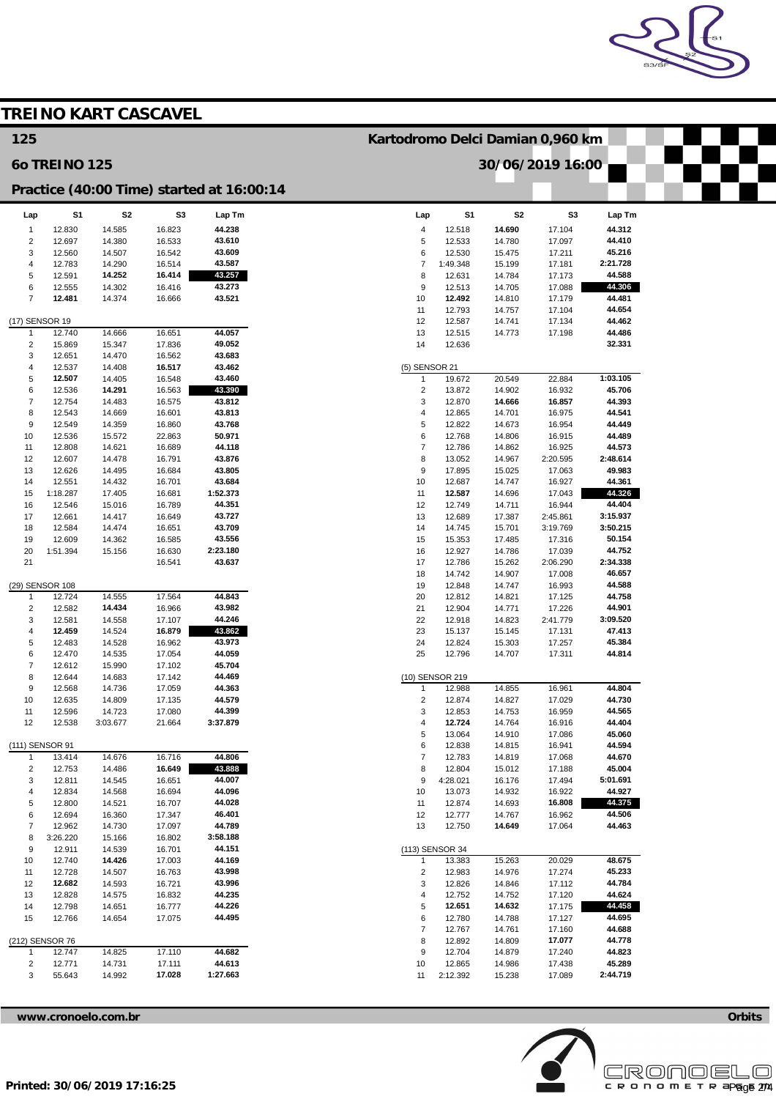

|                                |                      |                             |                  |                                           |                                |                                                      |                  |                    |                    | S3/S |  |
|--------------------------------|----------------------|-----------------------------|------------------|-------------------------------------------|--------------------------------|------------------------------------------------------|------------------|--------------------|--------------------|------|--|
|                                |                      | <b>TREINO KART CASCAVEL</b> |                  |                                           |                                |                                                      |                  |                    |                    |      |  |
| 125                            |                      |                             |                  |                                           |                                |                                                      |                  |                    |                    |      |  |
|                                | <b>60 TREINO 125</b> |                             |                  |                                           |                                | Kartodromo Delci Damian 0,960 km<br>30/06/2019 16:00 |                  |                    |                    |      |  |
|                                |                      |                             |                  | Practice (40:00 Time) started at 16:00:14 |                                |                                                      |                  |                    |                    |      |  |
| Lap                            | S <sub>1</sub>       | S <sub>2</sub>              | S3               | Lap Tm                                    | Lap                            | S <sub>1</sub>                                       | S <sub>2</sub>   | S <sub>3</sub>     | Lap Tm             |      |  |
| $\overline{1}$                 | 12.830               | 14.585                      | 16.823           | 44.238                                    | $\overline{4}$                 | 12.518                                               | 14.690           | 17.104             | 44.312             |      |  |
| $\overline{2}$                 | 12.697               | 14.380                      | 16.533           | 43.610                                    | 5                              | 12.533                                               | 14.780           | 17.097             | 44.410             |      |  |
| 3<br>$\overline{4}$            | 12.560<br>12.783     | 14.507<br>14.290            | 16.542<br>16.514 | 43.609<br>43.587                          | 6<br>$\overline{7}$            | 12.530<br>1:49.348                                   | 15.475<br>15.199 | 17.211<br>17.181   | 45.216<br>2:21.728 |      |  |
| 5                              | 12.591               | 14.252                      | 16.414           | 43.257                                    | 8                              | 12.631                                               | 14.784           | 17.173             | 44.588             |      |  |
| 6                              | 12.555               | 14.302                      | 16.416           | 43.273                                    | 9                              | 12.513                                               | 14.705           | 17.088             | 44.306             |      |  |
| $\overline{7}$                 | 12.481               | 14.374                      | 16.666           | 43.521                                    | 10                             | 12.492                                               | 14.810           | 17.179             | 44.481             |      |  |
| (17) SENSOR 19                 |                      |                             |                  |                                           | 11<br>12                       | 12.793<br>12.587                                     | 14.757<br>14.741 | 17.104<br>17.134   | 44.654<br>44.462   |      |  |
| -1                             | 12.740               | 14.666                      | 16.651           | 44.057                                    | 13                             | 12.515                                               | 14.773           | 17.198             | 44.486             |      |  |
| $\overline{2}$                 | 15.869               | 15.347                      | 17.836           | 49.052                                    | 14                             | 12.636                                               |                  |                    | 32.331             |      |  |
| 3                              | 12.651               | 14.470                      | 16.562           | 43.683                                    |                                |                                                      |                  |                    |                    |      |  |
| $\overline{4}$                 | 12.537               | 14.408                      | 16.517           | 43.462                                    | (5) SENSOR 21                  |                                                      |                  |                    | 1:03.105           |      |  |
| 5<br>6                         | 12.507<br>12.536     | 14.405<br>14.291            | 16.548<br>16.563 | 43.460<br>43.390                          | $\mathbf{1}$<br>$\overline{2}$ | 19.672<br>13.872                                     | 20.549<br>14.902 | 22.884<br>16.932   | 45.706             |      |  |
| $\overline{7}$                 | 12.754               | 14.483                      | 16.575           | 43.812                                    | 3                              | 12.870                                               | 14.666           | 16.857             | 44.393             |      |  |
| 8                              | 12.543               | 14.669                      | 16.601           | 43.813                                    | $\overline{4}$                 | 12.865                                               | 14.701           | 16.975             | 44.541             |      |  |
| 9                              | 12.549               | 14.359                      | 16.860           | 43.768                                    | $\,$ 5 $\,$                    | 12.822                                               | 14.673           | 16.954             | 44.449             |      |  |
| 10                             | 12.536               | 15.572                      | 22.863           | 50.971<br>44.118                          | 6<br>$\overline{7}$            | 12.768                                               | 14.806           | 16.915             | 44.489<br>44.573   |      |  |
| 11<br>12                       | 12.808<br>12.607     | 14.621<br>14.478            | 16.689<br>16.791 | 43.876                                    | 8                              | 12.786<br>13.052                                     | 14.862<br>14.967 | 16.925<br>2:20.595 | 2:48.614           |      |  |
| 13                             | 12.626               | 14.495                      | 16.684           | 43.805                                    | $\boldsymbol{9}$               | 17.895                                               | 15.025           | 17.063             | 49.983             |      |  |
| 14                             | 12.551               | 14.432                      | 16.701           | 43.684                                    | 10                             | 12.687                                               | 14.747           | 16.927             | 44.361             |      |  |
| 15                             | 1:18.287             | 17.405                      | 16.681           | 1:52.373                                  | 11                             | 12.587                                               | 14.696           | 17.043             | 44.326             |      |  |
| 16<br>17                       | 12.546<br>12.661     | 15.016<br>14.417            | 16.789<br>16.649 | 44.351<br>43.727                          | 12<br>13                       | 12.749<br>12.689                                     | 14.711<br>17.387 | 16.944<br>2:45.861 | 44.404<br>3:15.937 |      |  |
| 18                             | 12.584               | 14.474                      | 16.651           | 43.709                                    | 14                             | 14.745                                               | 15.701           | 3:19.769           | 3:50.215           |      |  |
| 19                             | 12.609               | 14.362                      | 16.585           | 43.556                                    | 15                             | 15.353                                               | 17.485           | 17.316             | 50.154             |      |  |
| 20                             | 1:51.394             | 15.156                      | 16.630           | 2:23.180                                  | 16                             | 12.927                                               | 14.786           | 17.039             | 44.752             |      |  |
| 21                             |                      |                             | 16.541           | 43.637                                    | 17<br>18                       | 12.786<br>14.742                                     | 15.262<br>14.907 | 2:06.290<br>17.008 | 2:34.338<br>46.657 |      |  |
| (29) SENSOR 108                |                      |                             |                  |                                           | 19                             | 12.848                                               | 14.747           | 16.993             | 44.588             |      |  |
| $\overline{1}$                 | 12.724               | 14.555                      | 17.564           | 44.843                                    | 20                             | 12.812                                               | 14.821           | 17.125             | 44.758             |      |  |
| $\overline{2}$                 | 12.582               | 14.434                      | 16.966           | 43.982                                    | 21                             | 12.904                                               | 14.771           | 17.226             | 44.901             |      |  |
| 3                              | 12.581               | 14.558                      | 17.107           | 44.246                                    | 22                             | 12.918                                               | 14.823           | 2:41.779           | 3:09.520           |      |  |
| 4<br>$\sqrt{5}$                | 12.459<br>12.483     | 14.524<br>14.528            | 16.879<br>16.962 | 43.862<br>43.973                          | 23<br>24                       | 15.137<br>12.824                                     | 15.145<br>15.303 | 17.131<br>17.257   | 47.413<br>45.384   |      |  |
| 6                              | 12.470               | 14.535                      | 17.054           | 44.059                                    | 25                             | 12.796                                               | 14.707           | 17.311             | 44.814             |      |  |
| $\overline{7}$                 | 12.612               | 15.990                      | 17.102           | 45.704                                    |                                |                                                      |                  |                    |                    |      |  |
| 8                              | 12.644               | 14.683                      | 17.142           | 44.469                                    |                                | (10) SENSOR 219                                      |                  |                    |                    |      |  |
| 9                              | 12.568               | 14.736                      | 17.059           | 44.363<br>44.579                          | $\mathbf{1}$                   | 12.988                                               | 14.855           | 16.961             | 44.804<br>44.730   |      |  |
| 10<br>11                       | 12.635<br>12.596     | 14.809<br>14.723            | 17.135<br>17.080 | 44.399                                    | $\overline{c}$<br>3            | 12.874<br>12.853                                     | 14.827<br>14.753 | 17.029<br>16.959   | 44.565             |      |  |
| 12                             | 12.538               | 3:03.677                    | 21.664           | 3:37.879                                  | $\overline{4}$                 | 12.724                                               | 14.764           | 16.916             | 44.404             |      |  |
|                                |                      |                             |                  |                                           | 5                              | 13.064                                               | 14.910           | 17.086             | 45.060             |      |  |
| (111) SENSOR 91                |                      |                             |                  |                                           | 6                              | 12.838                                               | 14.815           | 16.941             | 44.594             |      |  |
| $\mathbf{1}$<br>$\overline{2}$ | 13.414<br>12.753     | 14.676<br>14.486            | 16.716<br>16.649 | 44.806<br>43.888                          | $\overline{7}$<br>8            | 12.783<br>12.804                                     | 14.819<br>15.012 | 17.068<br>17.188   | 44.670<br>45.004   |      |  |
| 3                              | 12.811               | 14.545                      | 16.651           | 44.007                                    | 9                              | 4:28.021                                             | 16.176           | 17.494             | 5:01.691           |      |  |
| $\overline{4}$                 | 12.834               | 14.568                      | 16.694           | 44.096                                    | 10                             | 13.073                                               | 14.932           | 16.922             | 44.927             |      |  |
| 5                              | 12.800               | 14.521                      | 16.707           | 44.028                                    | 11                             | 12.874                                               | 14.693           | 16.808             | 44.375             |      |  |
| 6                              | 12.694               | 16.360                      | 17.347           | 46.401                                    | 12                             | 12.777                                               | 14.767           | 16.962             | 44.506             |      |  |
| $\overline{7}$<br>8            | 12.962<br>3:26.220   | 14.730<br>15.166            | 17.097<br>16.802 | 44.789<br>3:58.188                        | 13                             | 12.750                                               | 14.649           | 17.064             | 44.463             |      |  |
| 9                              | 12.911               | 14.539                      | 16.701           | 44.151                                    | (113) SENSOR 34                |                                                      |                  |                    |                    |      |  |
| 10                             | 12.740               | 14.426                      | 17.003           | 44.169                                    | $\mathbf{1}$                   | 13.383                                               | 15.263           | 20.029             | 48.675             |      |  |
| 11                             | 12.728               | 14.507                      | 16.763           | 43.998                                    | $\overline{c}$                 | 12.983                                               | 14.976           | 17.274             | 45.233             |      |  |
| 12                             | 12.682               | 14.593                      | 16.721           | 43.996                                    | 3                              | 12.826                                               | 14.846           | 17.112             | 44.784             |      |  |
| 13<br>14                       | 12.828<br>12.798     | 14.575<br>14.651            | 16.832<br>16.777 | 44.235<br>44.226                          | $\overline{4}$<br>5            | 12.752<br>12.651                                     | 14.752<br>14.632 | 17.120<br>17.175   | 44.624<br>44.458   |      |  |
| 15                             | 12.766               | 14.654                      | 17.075           | 44.495                                    | 6                              | 12.780                                               | 14.788           | 17.127             | 44.695             |      |  |
|                                |                      |                             |                  |                                           | $\overline{7}$                 | 12.767                                               | 14.761           | 17.160             | 44.688             |      |  |
| (212) SENSOR 76                |                      |                             |                  |                                           | 8                              | 12.892                                               | 14.809           | 17.077             | 44.778             |      |  |
| $\mathbf{1}$                   | 12.747               | 14.825                      | 17.110           | 44.682                                    | $\boldsymbol{9}$               | 12.704                                               | 14.879           | 17.240             | 44.823             |      |  |
| $\overline{c}$<br>3            | 12.771<br>55.643     | 14.731                      | 17.111<br>17.028 | 44.613<br>1:27.663                        | 10                             | 12.865                                               | 14.986           | 17.438             | 45.289<br>2:44.719 |      |  |
|                                |                      | 14.992                      |                  |                                           | 11                             | 2:12.392                                             | 15.238           | 17.089             |                    |      |  |

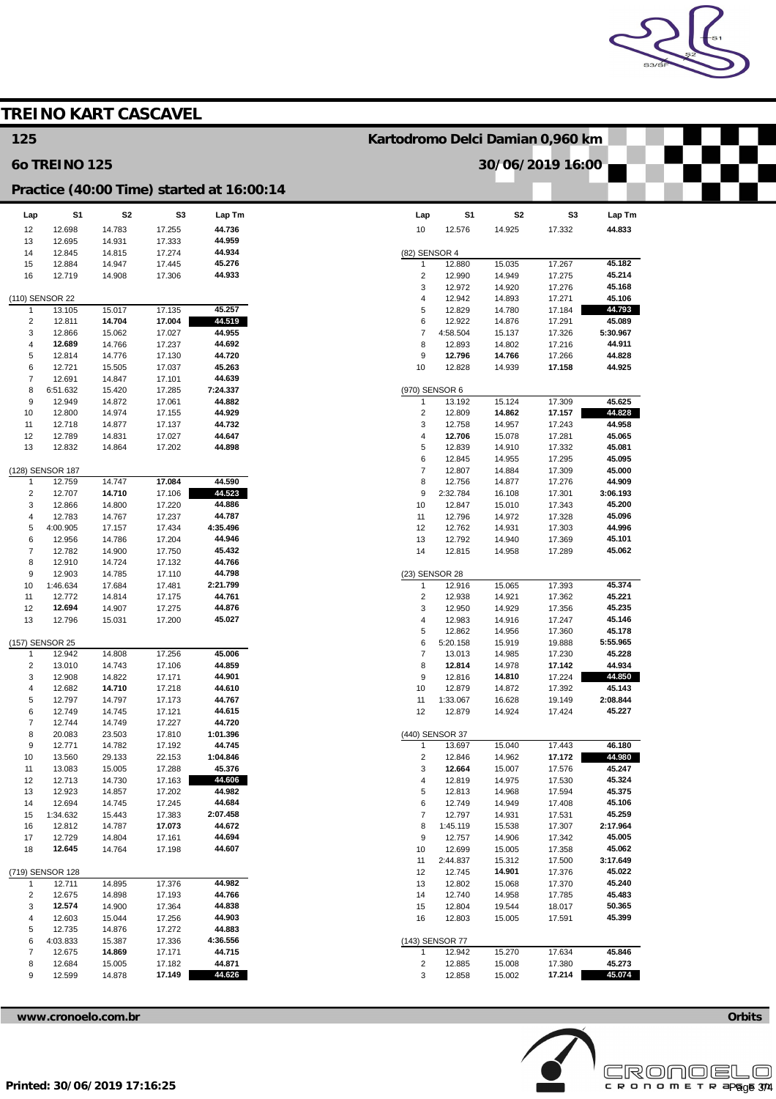

|                          |                      | <b>TREINO KART CASCAVEL</b> |                  |                                           |                                  |                           |                  |                  |                    |  |
|--------------------------|----------------------|-----------------------------|------------------|-------------------------------------------|----------------------------------|---------------------------|------------------|------------------|--------------------|--|
| 125                      |                      |                             |                  |                                           | Kartodromo Delci Damian 0,960 km |                           |                  |                  |                    |  |
|                          | <b>60 TREINO 125</b> |                             |                  |                                           | 30/06/2019 16:00                 |                           |                  |                  |                    |  |
|                          |                      |                             |                  | Practice (40:00 Time) started at 16:00:14 |                                  |                           |                  |                  |                    |  |
| Lap                      | S1                   | S2                          | S <sub>3</sub>   | Lap Tm                                    | Lap                              | S1                        | S <sub>2</sub>   | S3               | Lap Tm             |  |
| 12                       | 12.698               | 14.783                      | 17.255           | 44.736                                    | 10                               | 12.576                    | 14.925           | 17.332           | 44.833             |  |
| 13                       | 12.695               | 14.931                      | 17.333           | 44.959                                    |                                  |                           |                  |                  |                    |  |
| 14                       | 12.845               | 14.815                      | 17.274           | 44.934                                    | (82) SENSOR 4                    |                           |                  |                  |                    |  |
| 15                       | 12.884               | 14.947                      | 17.445           | 45.276                                    | $\mathbf{1}$                     | 12.880                    | 15.035           | 17.267           | 45.182             |  |
| 16                       | 12.719               | 14.908                      | 17.306           | 44.933                                    | $\overline{\mathbf{c}}$<br>3     | 12.990<br>12.972          | 14.949<br>14.920 | 17.275<br>17.276 | 45.214<br>45.168   |  |
| (110) SENSOR 22          |                      |                             |                  |                                           | 4                                | 12.942                    | 14.893           | 17.271           | 45.106             |  |
| $\mathbf{1}$             | 13.105               | 15.017                      | 17.135           | 45.257                                    | 5                                | 12.829                    | 14.780           | 17.184           | 44.793             |  |
| $\sqrt{2}$               | 12.811               | 14.704                      | 17.004           | 44.519                                    | 6                                | 12.922                    | 14.876           | 17.291           | 45.089             |  |
| 3                        | 12.866               | 15.062                      | 17.027           | 44.955                                    | $\overline{\mathfrak{c}}$        | 4:58.504                  | 15.137           | 17.326           | 5:30.967           |  |
| $\overline{\mathbf{4}}$  | 12.689               | 14.766                      | 17.237           | 44.692                                    | 8                                | 12.893                    | 14.802           | 17.216           | 44.911             |  |
| 5<br>6                   | 12.814<br>12.721     | 14.776<br>15.505            | 17.130<br>17.037 | 44.720<br>45.263                          | 9<br>10                          | 12.796<br>12.828          | 14.766<br>14.939 | 17.266<br>17.158 | 44.828<br>44.925   |  |
| $\overline{7}$           | 12.691               | 14.847                      | 17.101           | 44.639                                    |                                  |                           |                  |                  |                    |  |
| 8                        | 6:51.632             | 15.420                      | 17.285           | 7:24.337                                  | (970) SENSOR 6                   |                           |                  |                  |                    |  |
| 9                        | 12.949               | 14.872                      | 17.061           | 44.882                                    | 1                                | 13.192                    | 15.124           | 17.309           | 45.625             |  |
| 10                       | 12.800               | 14.974                      | 17.155           | 44.929                                    | $\overline{c}$                   | 12.809                    | 14.862           | 17.157           | 44.828             |  |
| 11                       | 12.718               | 14.877                      | 17.137           | 44.732                                    | 3                                | 12.758                    | 14.957           | 17.243           | 44.958             |  |
| 12<br>13                 | 12.789<br>12.832     | 14.831<br>14.864            | 17.027<br>17.202 | 44.647<br>44.898                          | 4<br>5                           | 12.706<br>12.839          | 15.078<br>14.910 | 17.281<br>17.332 | 45.065<br>45.081   |  |
|                          |                      |                             |                  |                                           | 6                                | 12.845                    | 14.955           | 17.295           | 45.095             |  |
|                          | (128) SENSOR 187     |                             |                  |                                           | $\overline{7}$                   | 12.807                    | 14.884           | 17.309           | 45.000             |  |
| $\mathbf{1}$             | 12.759               | 14.747                      | 17.084           | 44.590                                    | 8                                | 12.756                    | 14.877           | 17.276           | 44.909             |  |
| $\overline{c}$           | 12.707               | 14.710                      | 17.106           | 44.523                                    | 9                                | 2:32.784                  | 16.108           | 17.301           | 3:06.193           |  |
| 3                        | 12.866               | 14.800                      | 17.220           | 44.886                                    | 10                               | 12.847                    | 15.010           | 17.343           | 45.200             |  |
| $\overline{4}$<br>5      | 12.783               | 14.767                      | 17.237           | 44.787                                    | 11<br>12                         | 12.796                    | 14.972           | 17.328           | 45.096             |  |
| 6                        | 4:00.905<br>12.956   | 17.157<br>14.786            | 17.434<br>17.204 | 4:35.496<br>44.946                        | 13                               | 12.762<br>12.792          | 14.931<br>14.940 | 17.303<br>17.369 | 44.996<br>45.101   |  |
| $\overline{7}$           | 12.782               | 14.900                      | 17.750           | 45.432                                    | 14                               | 12.815                    | 14.958           | 17.289           | 45.062             |  |
| 8                        | 12.910               | 14.724                      | 17.132           | 44.766                                    |                                  |                           |                  |                  |                    |  |
| 9                        | 12.903               | 14.785                      | 17.110           | 44.798                                    | (23) SENSOR 28                   |                           |                  |                  |                    |  |
| 10                       | 1:46.634             | 17.684                      | 17.481           | 2:21.799                                  | 1                                | 12.916                    | 15.065           | 17.393           | 45.374             |  |
| 11                       | 12.772               | 14.814                      | 17.175           | 44.761<br>44.876                          | $\overline{\mathbf{c}}$<br>3     | 12.938                    | 14.921           | 17.362           | 45.221<br>45.235   |  |
| 12<br>13                 | 12.694<br>12.796     | 14.907<br>15.031            | 17.275<br>17.200 | 45.027                                    | 4                                | 12.950<br>12.983          | 14.929<br>14.916 | 17.356<br>17.247 | 45.146             |  |
|                          |                      |                             |                  |                                           | 5                                | 12.862                    | 14.956           | 17.360           | 45.178             |  |
|                          | (157) SENSOR 25      |                             |                  |                                           | 6                                | 5:20.158                  | 15.919           | 19.888           | 5:55.965           |  |
| $\mathbf{1}$             | 12.942               | 14.808                      | 17.256           | 45.006                                    | 7                                | 13.013                    | 14.985           | 17.230           | 45.228             |  |
| $\overline{2}$           | 13.010               | 14.743                      | 17.106           | 44.859                                    | 8                                | 12.814                    | 14.978           | 17.142           | 44.934             |  |
| 3                        | 12.908               | 14.822                      | 17.171           | 44.901                                    | 9                                | 12.816                    | 14.810           | 17.224           | 44.850             |  |
| 4<br>5                   | 12.682               | 14.710                      | 17.218           | 44.610<br>44.767                          | 10                               | 12.879<br>1:33.067        | 14.872<br>16.628 | 17.392<br>19.149 | 45.143<br>2:08.844 |  |
| 6                        | 12.797<br>12.749     | 14.797<br>14.745            | 17.173<br>17.121 | 44.615                                    | 11<br>12                         | 12.879                    | 14.924           | 17.424           | 45.227             |  |
| $\overline{\mathcal{I}}$ | 12.744               | 14.749                      | 17.227           | 44.720                                    |                                  |                           |                  |                  |                    |  |
| 8                        | 20.083               | 23.503                      | 17.810           | 1:01.396                                  |                                  | (440) SENSOR 37           |                  |                  |                    |  |
| 9                        | 12.771               | 14.782                      | 17.192           | 44.745                                    | $\mathbf{1}$                     | 13.697                    | 15.040           | 17.443           | 46.180             |  |
| 10                       | 13.560               | 29.133                      | 22.153           | 1:04.846                                  | $\overline{c}$                   | 12.846                    | 14.962           | 17.172           | 44.980             |  |
| 11<br>12                 | 13.083<br>12.713     | 15.005<br>14.730            | 17.288<br>17.163 | 45.376<br>44.606                          | 3<br>4                           | 12.664<br>12.819          | 15.007<br>14.975 | 17.576<br>17.530 | 45.247<br>45.324   |  |
| 13                       | 12.923               | 14.857                      | 17.202           | 44.982                                    | 5                                | 12.813                    | 14.968           | 17.594           | 45.375             |  |
| 14                       | 12.694               | 14.745                      | 17.245           | 44.684                                    | 6                                | 12.749                    | 14.949           | 17.408           | 45.106             |  |
| 15                       | 1:34.632             | 15.443                      | 17.383           | 2:07.458                                  | $\overline{\mathfrak{c}}$        | 12.797                    | 14.931           | 17.531           | 45.259             |  |
| 16                       | 12.812               | 14.787                      | 17.073           | 44.672                                    | 8                                | 1:45.119                  | 15.538           | 17.307           | 2:17.964           |  |
| 17                       | 12.729               | 14.804                      | 17.161           | 44.694                                    | 9                                | 12.757                    | 14.906           | 17.342           | 45.005             |  |
| 18                       | 12.645               | 14.764                      | 17.198           | 44.607                                    | 10                               | 12.699                    | 15.005           | 17.358           | 45.062             |  |
|                          | (719) SENSOR 128     |                             |                  |                                           | 11<br>12                         | 2:44.837<br>12.745        | 15.312<br>14.901 | 17.500<br>17.376 | 3:17.649<br>45.022 |  |
| $\mathbf{1}$             | 12.711               | 14.895                      | 17.376           | 44.982                                    | 13                               | 12.802                    | 15.068           | 17.370           | 45.240             |  |
| $\overline{\mathbf{c}}$  | 12.675               | 14.898                      | 17.193           | 44.766                                    | 14                               | 12.740                    | 14.958           | 17.785           | 45.483             |  |
| 3                        | 12.574               | 14.900                      | 17.364           | 44.838                                    | 15                               | 12.804                    | 19.544           | 18.017           | 50.365             |  |
| 4                        | 12.603               | 15.044                      | 17.256           | 44.903                                    | 16                               | 12.803                    | 15.005           | 17.591           | 45.399             |  |
| 5                        | 12.735               | 14.876                      | 17.272           | 44.883                                    |                                  |                           |                  |                  |                    |  |
| 6<br>$\overline{7}$      | 4:03.833<br>12.675   | 15.387<br>14.869            | 17.336<br>17.171 | 4:36.556<br>44.715                        | $\mathbf{1}$                     | (143) SENSOR 77<br>12.942 | 15.270           | 17.634           | 45.846             |  |
| 8                        | 12.684               | 15.005                      | 17.182           | 44.871                                    | $\overline{c}$                   | 12.885                    | 15.008           | 17.380           | 45.273             |  |
| 9                        | 12.599               | 14.878                      | 17.149           | 44.626                                    | 3                                | 12.858                    | 15.002           | 17.214           | 45.074             |  |
|                          |                      |                             |                  |                                           |                                  |                           |                  |                  |                    |  |